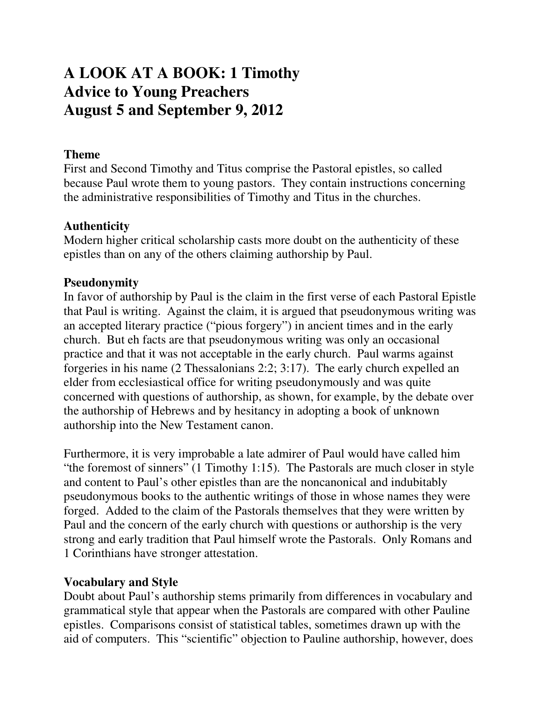# **A LOOK AT A BOOK: 1 Timothy Advice to Young Preachers August 5 and September 9, 2012**

# **Theme**

First and Second Timothy and Titus comprise the Pastoral epistles, so called because Paul wrote them to young pastors. They contain instructions concerning the administrative responsibilities of Timothy and Titus in the churches.

# **Authenticity**

Modern higher critical scholarship casts more doubt on the authenticity of these epistles than on any of the others claiming authorship by Paul.

# **Pseudonymity**

In favor of authorship by Paul is the claim in the first verse of each Pastoral Epistle that Paul is writing. Against the claim, it is argued that pseudonymous writing was an accepted literary practice ("pious forgery") in ancient times and in the early church. But eh facts are that pseudonymous writing was only an occasional practice and that it was not acceptable in the early church. Paul warms against forgeries in his name (2 Thessalonians 2:2; 3:17). The early church expelled an elder from ecclesiastical office for writing pseudonymously and was quite concerned with questions of authorship, as shown, for example, by the debate over the authorship of Hebrews and by hesitancy in adopting a book of unknown authorship into the New Testament canon.

Furthermore, it is very improbable a late admirer of Paul would have called him "the foremost of sinners" (1 Timothy 1:15). The Pastorals are much closer in style and content to Paul's other epistles than are the noncanonical and indubitably pseudonymous books to the authentic writings of those in whose names they were forged. Added to the claim of the Pastorals themselves that they were written by Paul and the concern of the early church with questions or authorship is the very strong and early tradition that Paul himself wrote the Pastorals. Only Romans and 1 Corinthians have stronger attestation.

# **Vocabulary and Style**

Doubt about Paul's authorship stems primarily from differences in vocabulary and grammatical style that appear when the Pastorals are compared with other Pauline epistles. Comparisons consist of statistical tables, sometimes drawn up with the aid of computers. This "scientific" objection to Pauline authorship, however, does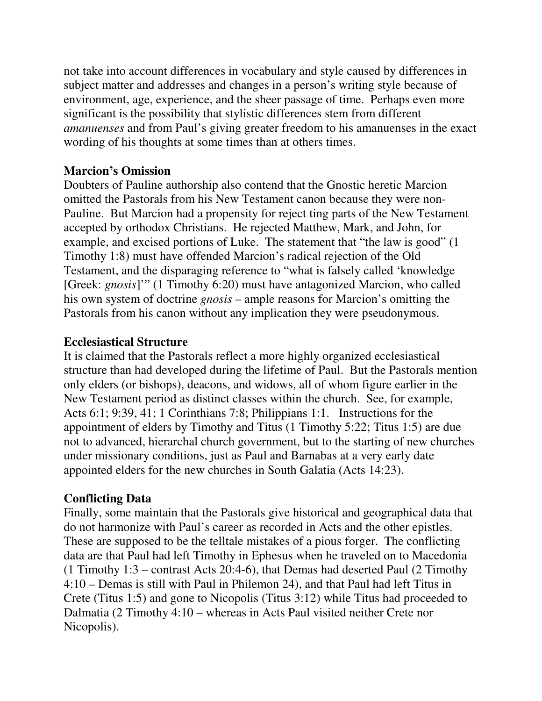not take into account differences in vocabulary and style caused by differences in subject matter and addresses and changes in a person's writing style because of environment, age, experience, and the sheer passage of time. Perhaps even more significant is the possibility that stylistic differences stem from different *amanuenses* and from Paul's giving greater freedom to his amanuenses in the exact wording of his thoughts at some times than at others times.

#### **Marcion's Omission**

Doubters of Pauline authorship also contend that the Gnostic heretic Marcion omitted the Pastorals from his New Testament canon because they were non-Pauline. But Marcion had a propensity for reject ting parts of the New Testament accepted by orthodox Christians. He rejected Matthew, Mark, and John, for example, and excised portions of Luke. The statement that "the law is good" (1 Timothy 1:8) must have offended Marcion's radical rejection of the Old Testament, and the disparaging reference to "what is falsely called 'knowledge [Greek: *gnosis*]" (1 Timothy 6:20) must have antagonized Marcion, who called his own system of doctrine *gnosis* – ample reasons for Marcion's omitting the Pastorals from his canon without any implication they were pseudonymous.

#### **Ecclesiastical Structure**

It is claimed that the Pastorals reflect a more highly organized ecclesiastical structure than had developed during the lifetime of Paul. But the Pastorals mention only elders (or bishops), deacons, and widows, all of whom figure earlier in the New Testament period as distinct classes within the church. See, for example, Acts 6:1; 9:39, 41; 1 Corinthians 7:8; Philippians 1:1. Instructions for the appointment of elders by Timothy and Titus (1 Timothy 5:22; Titus 1:5) are due not to advanced, hierarchal church government, but to the starting of new churches under missionary conditions, just as Paul and Barnabas at a very early date appointed elders for the new churches in South Galatia (Acts 14:23).

#### **Conflicting Data**

Finally, some maintain that the Pastorals give historical and geographical data that do not harmonize with Paul's career as recorded in Acts and the other epistles. These are supposed to be the telltale mistakes of a pious forger. The conflicting data are that Paul had left Timothy in Ephesus when he traveled on to Macedonia (1 Timothy 1:3 – contrast Acts 20:4-6), that Demas had deserted Paul (2 Timothy 4:10 – Demas is still with Paul in Philemon 24), and that Paul had left Titus in Crete (Titus 1:5) and gone to Nicopolis (Titus 3:12) while Titus had proceeded to Dalmatia (2 Timothy 4:10 – whereas in Acts Paul visited neither Crete nor Nicopolis).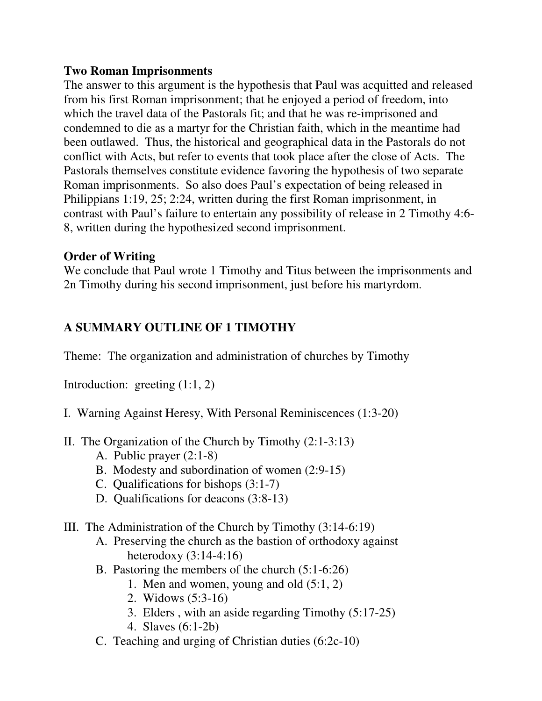# **Two Roman Imprisonments**

The answer to this argument is the hypothesis that Paul was acquitted and released from his first Roman imprisonment; that he enjoyed a period of freedom, into which the travel data of the Pastorals fit; and that he was re-imprisoned and condemned to die as a martyr for the Christian faith, which in the meantime had been outlawed. Thus, the historical and geographical data in the Pastorals do not conflict with Acts, but refer to events that took place after the close of Acts. The Pastorals themselves constitute evidence favoring the hypothesis of two separate Roman imprisonments. So also does Paul's expectation of being released in Philippians 1:19, 25; 2:24, written during the first Roman imprisonment, in contrast with Paul's failure to entertain any possibility of release in 2 Timothy 4:6- 8, written during the hypothesized second imprisonment.

# **Order of Writing**

We conclude that Paul wrote 1 Timothy and Titus between the imprisonments and 2n Timothy during his second imprisonment, just before his martyrdom.

# **A SUMMARY OUTLINE OF 1 TIMOTHY**

Theme: The organization and administration of churches by Timothy

Introduction: greeting (1:1, 2)

- I. Warning Against Heresy, With Personal Reminiscences (1:3-20)
- II. The Organization of the Church by Timothy (2:1-3:13)
	- A. Public prayer (2:1-8)
	- B. Modesty and subordination of women (2:9-15)
	- C. Qualifications for bishops (3:1-7)
	- D. Qualifications for deacons (3:8-13)
- III. The Administration of the Church by Timothy (3:14-6:19)
	- A. Preserving the church as the bastion of orthodoxy against heterodoxy (3:14-4:16)
	- B. Pastoring the members of the church (5:1-6:26)
		- 1. Men and women, young and old  $(5:1, 2)$
		- 2. Widows (5:3-16)
		- 3. Elders , with an aside regarding Timothy (5:17-25)
		- 4. Slaves (6:1-2b)
	- C. Teaching and urging of Christian duties (6:2c-10)